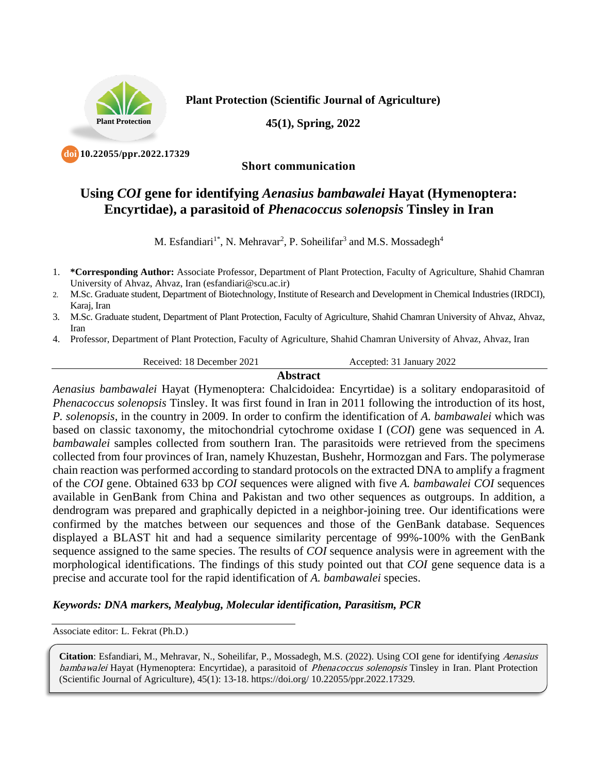

**Plant Protection (Scientific Journal of Agriculture)**

**45(1), Spring, 2022**

 **10.22055/ppr.2022.17329 doi**

## **Short communication**

## **Using** *COI* **gene for identifying** *Aenasius bambawalei* **Hayat (Hymenoptera: Encyrtidae), a parasitoid of** *Phenacoccus solenopsis* **Tinsley in Iran**

M. Esfandiari<sup>1\*</sup>, N. Mehravar<sup>2</sup>, P. Soheilifar<sup>3</sup> and M.S. Mossadegh<sup>4</sup>

- 2. M.Sc. Graduate student, Department of Biotechnology, Institute of Research and Development in Chemical Industries (IRDCI), Karaj, Iran
- 3. M.Sc. Graduate student, Department of Plant Protection, Faculty of Agriculture, Shahid Chamran University of Ahvaz, Ahvaz, Iran
- 4. Professor, Department of Plant Protection, Faculty of Agriculture, Shahid Chamran University of Ahvaz, Ahvaz, Iran

Received: 18 December 2021 Accepted: 31 January 2022

## **Abstract**

*Aenasius bambawalei* Hayat (Hymenoptera: Chalcidoidea: Encyrtidae) is a solitary endoparasitoid of *Phenacoccus solenopsis* Tinsley. It was first found in Iran in 2011 following the introduction of its host, *P. solenopsis*, in the country in 2009. In order to confirm the identification of *A. bambawalei* which was based on classic taxonomy, the mitochondrial cytochrome oxidase I (*COI*) gene was sequenced in *A. bambawalei* samples collected from southern Iran. The parasitoids were retrieved from the specimens collected from four provinces of Iran, namely Khuzestan, Bushehr, Hormozgan and Fars. The polymerase chain reaction was performed according to standard protocols on the extracted DNA to amplify a fragment of the *COI* gene. Obtained 633 bp *COI* sequences were aligned with five *A. bambawalei COI* sequences available in GenBank from China and Pakistan and two other sequences as outgroups. In addition, a dendrogram was prepared and graphically depicted in a neighbor-joining tree. Our identifications were confirmed by the matches between our sequences and those of the GenBank database. Sequences displayed a BLAST hit and had a sequence similarity percentage of 99%-100% with the GenBank sequence assigned to the same species. The results of *COI* sequence analysis were in agreement with the morphological identifications. The findings of this study pointed out that *COI* gene sequence data is a precise and accurate tool for the rapid identification of *A. bambawalei* species.

## *Keywords: DNA markers, Mealybug, Molecular identification, Parasitism, PCR*

Associate editor: L. Fekrat (Ph.D.)

**Citation**: Esfandiari, M., Mehravar, N., Soheilifar, P., Mossadegh, M.S. (2022). Using COI gene for identifying Aenasius bambawalei Hayat (Hymenoptera: Encyrtidae), a parasitoid of *Phenacoccus solenopsis* Tinsley in Iran. Plant Protection (Scientific Journal of Agriculture), 45(1): 13-18. https://doi.org/ 10.22055/ppr.2022.17329.

<sup>1.</sup> **\*Corresponding Author:** Associate Professor, Department of Plant Protection, Faculty of Agriculture, Shahid Chamran University of Ahvaz, Ahvaz, Iran (esfandiari@scu.ac.ir)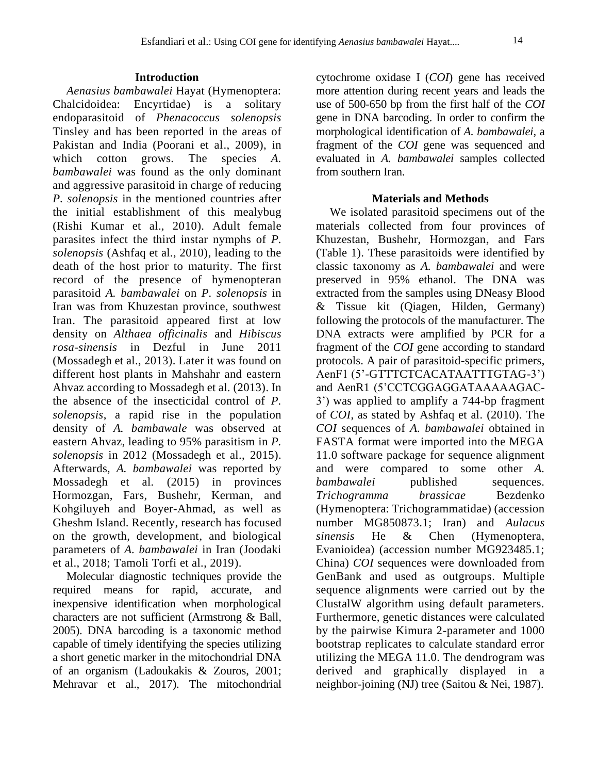## **Introduction**

*Aenasius bambawalei* Hayat (Hymenoptera: Chalcidoidea: Encyrtidae) is a solitary endoparasitoid of *Phenacoccus solenopsis*  Tinsley and has been reported in the areas of Pakistan and India (Poorani et al., 2009), in which cotton grows. The species *A*. *bambawalei* was found as the only dominant and aggressive parasitoid in charge of reducing *P. solenopsis* in the mentioned countries after the initial establishment of this mealybug (Rishi Kumar et al., 2010). Adult female parasites infect the third instar nymphs of *P. solenopsis* (Ashfaq et al., 2010), leading to the death of the host prior to maturity. The first record of the presence of hymenopteran parasitoid *A. bambawalei* on *P. solenopsis* in Iran was from Khuzestan province, southwest Iran. The parasitoid appeared first at low density on *Althaea officinalis* and *Hibiscus rosa-sinensis* in Dezful in June 2011 (Mossadegh et al., 2013). Later it was found on different host plants in Mahshahr and eastern Ahvaz according to Mossadegh et al. (2013). In the absence of the insecticidal control of *P. solenopsis*, a rapid rise in the population density of *A. bambawale* was observed at eastern Ahvaz, leading to 95% parasitism in *P. solenopsis* in 2012 (Mossadegh et al., 2015). Afterwards, *A. bambawalei* was reported by Mossadegh et al. (2015) in provinces Hormozgan, Fars, Bushehr, Kerman, and Kohgiluyeh and Boyer-Ahmad, as well as Gheshm Island. Recently, research has focused on the growth, development, and biological parameters of *A. bambawalei* in Iran (Joodaki et al., 2018; Tamoli Torfi et al., 2019).

Molecular diagnostic techniques provide the required means for rapid, accurate, and inexpensive identification when morphological characters are not sufficient (Armstrong & Ball, 2005). DNA barcoding is a taxonomic method capable of timely identifying the species utilizing a short genetic marker in the mitochondrial DNA of an organism (Ladoukakis & Zouros, 2001; Mehravar et al., 2017). The mitochondrial

cytochrome oxidase I (*COI*) gene has received more attention during recent years and leads the use of 500-650 bp from the first half of the *COI* gene in DNA barcoding. In order to confirm the morphological identification of *A. bambawalei*, a fragment of the *COI* gene was sequenced and evaluated in *A. bambawalei* samples collected from southern Iran.

### **Materials and Methods**

We isolated parasitoid specimens out of the materials collected from four provinces of Khuzestan, Bushehr, Hormozgan, and Fars (Table 1). These parasitoids were identified by classic taxonomy as *A. bambawalei* and were preserved in 95% ethanol. The DNA was extracted from the samples using DNeasy Blood & Tissue kit (Qiagen, Hilden, Germany) following the protocols of the manufacturer. The DNA extracts were amplified by PCR for a fragment of the *COI* gene according to standard protocols. A pair of parasitoid-specific primers, AenF1 (5'-GTTTCTCACATAATTTGTAG-3') and AenR1 (5'CCTCGGAGGATAAAAAGAC-3') was applied to amplify a 744-bp fragment of *COI*, as stated by Ashfaq et al. (2010). The *COI* sequences of *A. bambawalei* obtained in FASTA format were imported into the MEGA 11.0 software package for sequence alignment and were compared to some other *A. bambawalei* published sequences. *Trichogramma brassicae* Bezdenko (Hymenoptera: Trichogrammatidae) (accession number MG850873.1; Iran) and *Aulacus sinensis* He & Chen (Hymenoptera, Evanioidea) (accession number MG923485.1; China) *COI* sequences were downloaded from GenBank and used as outgroups. Multiple sequence alignments were carried out by the ClustalW algorithm using default parameters. Furthermore, genetic distances were calculated by the pairwise Kimura 2-parameter and 1000 bootstrap replicates to calculate standard error utilizing the MEGA 11.0. The dendrogram was derived and graphically displayed in a neighbor-joining (NJ) tree (Saitou & Nei, 1987).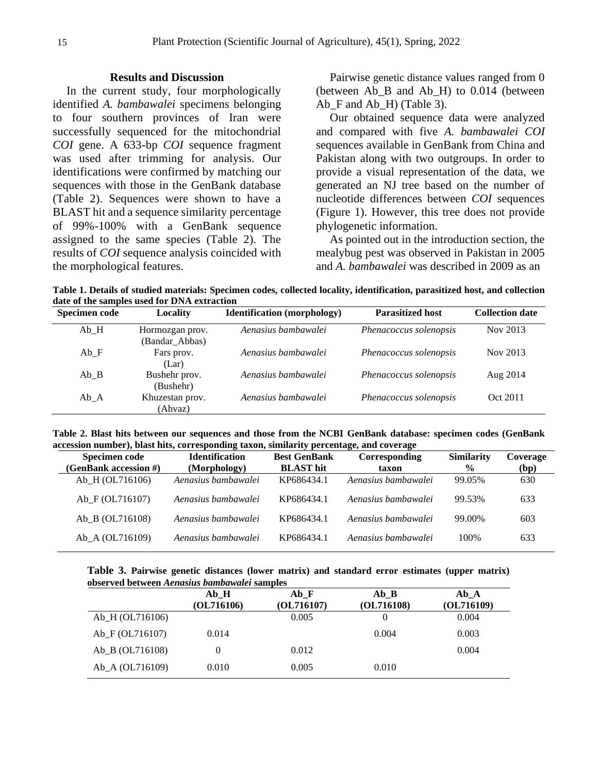#### **Results and Discussion**

In the current study, four morphologically identified *A. bambawalei* specimens belonging to four southern provinces of Iran were successfully sequenced for the mitochondrial *COI* gene. A 633-bp *COI* sequence fragment was used after trimming for analysis. Our identifications were confirmed by matching our sequences with those in the GenBank database (Table 2). Sequences were shown to have a BLAST hit and a sequence similarity percentage of 99%-100% with a GenBank sequence assigned to the same species (Table 2). The results of *COI* sequence analysis coincided with the morphological features.

Pairwise genetic distance values ranged from 0 (between Ab\_B and Ab\_H) to 0.014 (between Ab\_F and Ab\_H) (Table 3).

Our obtained sequence data were analyzed and compared with five *A. bambawalei COI* sequences available in GenBank from China and Pakistan along with two outgroups. In order to provide a visual representation of the data, we generated an NJ tree based on the number of nucleotide differences between *COI* sequences (Figure 1). However, this tree does not provide phylogenetic information.

As pointed out in the introduction section, the mealybug pest was observed in Pakistan in 2005 and *A. bambawalei* was described in 2009 as an

**Table 1. Details of studied materials: Specimen codes, collected locality, identification, parasitized host, and collection date of the samples used for DNA extraction**

| <b>Specimen code</b> | Locality                          | <b>Identification</b> (morphology) | <b>Parasitized host</b> | <b>Collection date</b> |
|----------------------|-----------------------------------|------------------------------------|-------------------------|------------------------|
| Ab H                 | Hormozgan prov.<br>(Bandar_Abbas) | Aenasius bambawalei                | Phenacoccus solenopsis  | Nov 2013               |
| Ab F                 | Fars prov.<br>(Lar)               | Aenasius bambawalei                | Phenacoccus solenopsis  | Nov 2013               |
| Ab B                 | Bushehr prov.<br>(Bushehr)        | Aenasius bambawalei                | Phenacoccus solenopsis  | Aug 2014               |
| $Ab_A$               | Khuzestan prov.<br>(Ahvaz)        | Aenasius bambawalei                | Phenacoccus solenopsis  | Oct 2011               |

**Table 2. Blast hits between our sequences and those from the NCBI GenBank database: specimen codes (GenBank accession number), blast hits, corresponding taxon, similarity percentage, and coverage**

| <b>Specimen code</b>  | <b>Identification</b> | <b>Best GenBank</b> | <b>Corresponding</b> | <b>Similarity</b> | Coverage |
|-----------------------|-----------------------|---------------------|----------------------|-------------------|----------|
| (GenBank accession #) | (Morphology)          | <b>BLAST</b> hit    | taxon                | $\frac{6}{9}$     | (bp)     |
| Ab H (OL716106)       | Aenasius bambawalei   | KP686434.1          | Aenasius bambawalei  | 99.05%            | 630      |
| Ab_F(OL716107)        | Aenasius bambawalei   | KP686434.1          | Aenasius bambawalei  | 99.53%            | 633      |
| Ab B (OL716108)       | Aenasius bambawalei   | KP686434.1          | Aenasius bambawalei  | 99.00%            | 603      |
| Ab A (OL716109)       | Aenasius bambawalei   | KP686434.1          | Aenasius bambawalei  | 100\%             | 633      |

**Table 3. Pairwise genetic distances (lower matrix) and standard error estimates (upper matrix) observed between** *Aenasius bambawalei* **samples**

|                   | Ab H       | Ab F       | Ab B       | Ab A       |
|-------------------|------------|------------|------------|------------|
|                   | (OL716106) | (OL716107) | (OL716108) | (OL716109) |
| Ab_H (OL716106)   |            | 0.005      |            | 0.004      |
| Ab F(OL716107)    | 0.014      |            | 0.004      | 0.003      |
| $Ab_B (OL716108)$ |            | 0.012      |            | 0.004      |
| Ab_A (OL716109)   | 0.010      | 0.005      | 0.010      |            |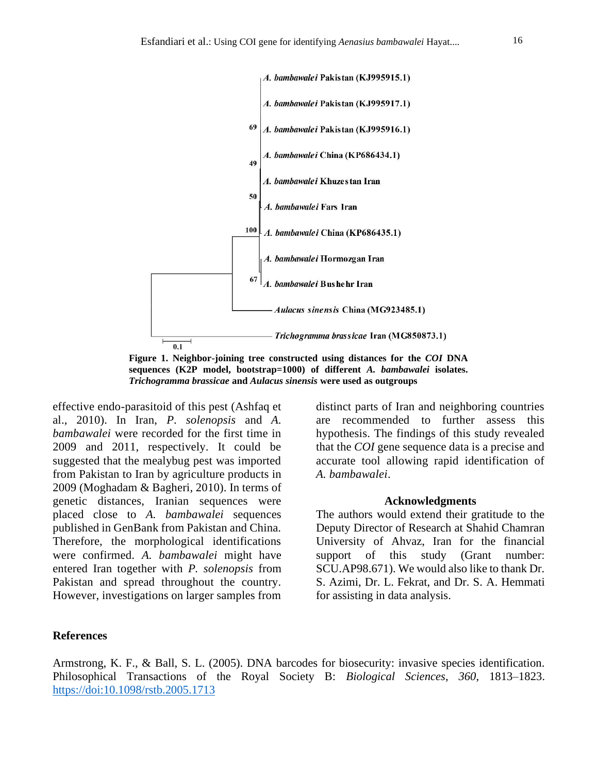

**Figure 1. Neighbor-joining tree constructed using distances for the** *COI* **DNA sequences (K2P model, bootstrap=1000) of different** *A. bambawalei* **isolates.**  *Trichogramma brassicae* **and** *Aulacus sinensis* **were used as outgroups**

effective endo-parasitoid of this pest (Ashfaq et al., 2010). In Iran, *P. solenopsis* and *A. bambawalei* were recorded for the first time in 2009 and 2011, respectively. It could be suggested that the mealybug pest was imported from Pakistan to Iran by agriculture products in 2009 (Moghadam & Bagheri, 2010). In terms of genetic distances, Iranian sequences were placed close to *A. bambawalei* sequences published in GenBank from Pakistan and China. Therefore, the morphological identifications were confirmed. *A. bambawalei* might have entered Iran together with *P. solenopsis* from Pakistan and spread throughout the country. However, investigations on larger samples from

distinct parts of Iran and neighboring countries are recommended to further assess this hypothesis. The findings of this study revealed that the *COI* gene sequence data is a precise and accurate tool allowing rapid identification of *A. bambawalei*.

#### **Acknowledgments**

The authors would extend their gratitude to the Deputy Director of Research at Shahid Chamran University of Ahvaz, Iran for the financial support of this study (Grant number: SCU.AP98.671). We would also like to thank Dr. S. Azimi, Dr. L. Fekrat, and Dr. S. A. Hemmati for assisting in data analysis.

#### **References**

Armstrong, K. F., & Ball, S. L. (2005). DNA barcodes for biosecurity: invasive species identification. Philosophical Transactions of the Royal Society B: *Biological Sciences*, *360*, 1813–1823. https://doi:10.1098/rstb.2005.1713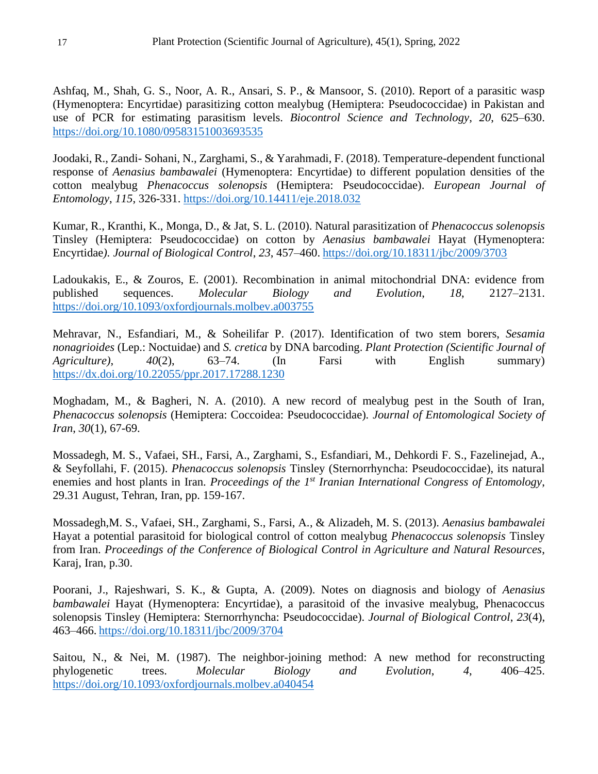Ashfaq, M., Shah, G. S., Noor, A. R., Ansari, S. P., & Mansoor, S. (2010). Report of a parasitic wasp (Hymenoptera: Encyrtidae) parasitizing cotton mealybug (Hemiptera: Pseudococcidae) in Pakistan and use of PCR for estimating parasitism levels. *Biocontrol Science and Technology*, *20*, 625–630. https://doi.org/10.1080/09583151003693535

Joodaki, R., Zandi- Sohani, N., Zarghami, S., & Yarahmadi, F. (2018). Temperature-dependent functional response of *Aenasius bambawalei* (Hymenoptera: Encyrtidae) to different population densities of the cotton mealybug *Phenacoccus solenopsis* (Hemiptera: Pseudococcidae). *European Journal of Entomology*, *115*, 326-331. https://doi.org/10.14411/eje.2018.032

Kumar, R., Kranthi, K., Monga, D., & Jat, S. L. (2010). Natural parasitization of *Phenacoccus solenopsis*  Tinsley (Hemiptera: Pseudococcidae) on cotton by *Aenasius bambawalei* Hayat (Hymenoptera: Encyrtidae*). Journal of Biological Control*, *23*, 457–460. https://doi.org/10.18311/jbc/2009/3703

Ladoukakis, E., & Zouros, E. (2001). Recombination in animal mitochondrial DNA: evidence from published sequences. *Molecular Biology and Evolution*, *18*, 2127–2131. https://doi.org/10.1093/oxfordjournals.molbev.a003755

Mehravar, N., Esfandiari, M., & Soheilifar P. (2017). Identification of two stem borers, *Sesamia nonagrioides* (Lep.: Noctuidae) and *S. cretica* by DNA barcoding. *Plant Protection (Scientific Journal of Agriculture)*, *40*(2), 63–74. (In Farsi with English summary) https://dx.doi.org/10.22055/ppr.2017.17288.1230

Moghadam, M., & Bagheri, N. A. (2010). A new record of mealybug pest in the South of Iran, *Phenacoccus solenopsis* (Hemiptera: Coccoidea: Pseudococcidae)*. Journal of Entomological Society of Iran*, *30*(1), 67-69.

Mossadegh, M. S., Vafaei, SH., Farsi, A., Zarghami, S., Esfandiari, M., Dehkordi F. S., Fazelinejad, A., & Seyfollahi, F. (2015). *Phenacoccus solenopsis* Tinsley (Sternorrhyncha: Pseudococcidae), its natural enemies and host plants in Iran. *Proceedings of the 1<sup>st</sup> Iranian International Congress of Entomology*, 29.31 August, Tehran, Iran, pp. 159-167.

Mossadegh,M. S., Vafaei, SH., Zarghami, S., Farsi, A., & Alizadeh, M. S. (2013). *Aenasius bambawalei*  Hayat a potential parasitoid for biological control of cotton mealybug *Phenacoccus solenopsis* Tinsley from Iran. *Proceedings of the Conference of Biological Control in Agriculture and Natural Resources*, Karaj, Iran, p.30.

Poorani, J., Rajeshwari, S. K., & Gupta, A. (2009). Notes on diagnosis and biology of *Aenasius bambawalei* Hayat (Hymenoptera: Encyrtidae), a parasitoid of the invasive mealybug, Phenacoccus solenopsis Tinsley (Hemiptera: Sternorrhyncha: Pseudococcidae). *Journal of Biological Control*, *23*(4), 463–466. https://doi.org/10.18311/jbc/2009/3704

Saitou, N., & Nei, M. (1987). The neighbor-joining method: A new method for reconstructing phylogenetic trees. *Molecular Biology and Evolution*, *4*, 406–425. https://doi.org/10.1093/oxfordjournals.molbev.a040454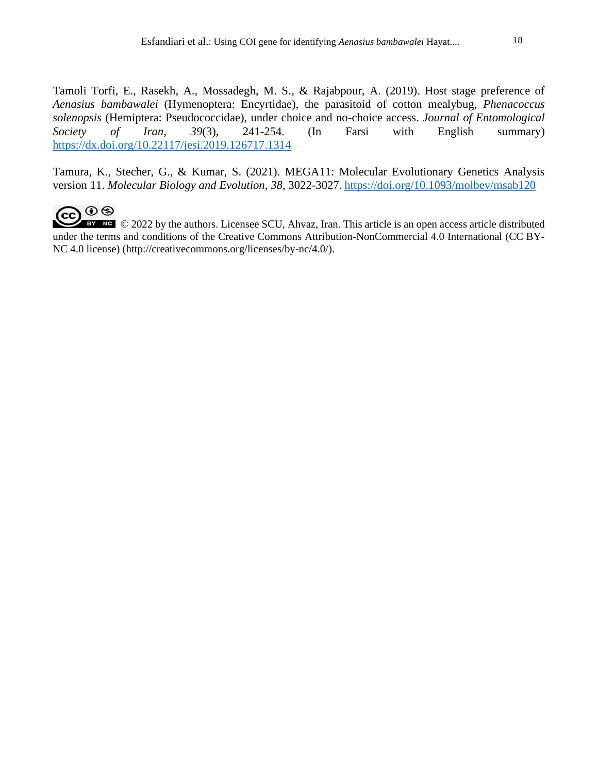Tamoli Torfi, E., Rasekh, A., Mossadegh, M. S., & Rajabpour, A. (2019). Host stage preference of *Aenasius bambawalei* (Hymenoptera: Encyrtidae), the parasitoid of cotton mealybug, *Phenacoccus solenopsis* (Hemiptera: Pseudococcidae), under choice and no-choice access. *Journal of Entomological Society of Iran*, *39*(3), 241-254. (In Farsi with English summary) https://dx.doi.org/10.22117/jesi.2019.126717.1314

Tamura, K., Stecher, G., & Kumar, S. (2021). MEGA11: Molecular Evolutionary Genetics Analysis version 11. *Molecular Biology and Evolution*, *38*, 3022-3027. <https://doi.org/10.1093/molbev/msab120>



BY NC © 2022 by the authors. Licensee SCU, Ahvaz, Iran. This article is an open access article distributed under the terms and conditions of the Creative Commons Attribution-NonCommercial 4.0 International (CC BY-NC 4.0 license) (http://creativecommons.org/licenses/by-nc/4.0/).